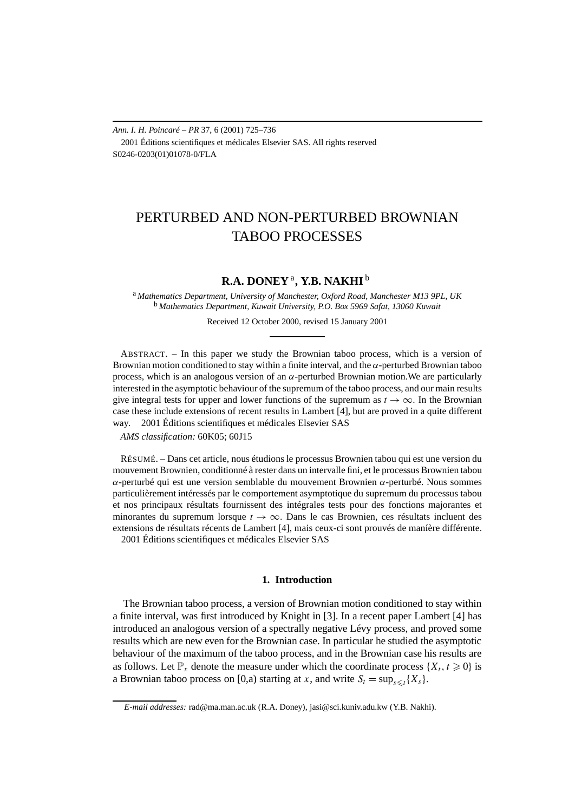*Ann. I. H. Poincaré – PR* 37, 6 (2001) 725–736 2001 Éditions scientifiques et médicales Elsevier SAS. All rights reserved S0246-0203(01)01078-0/FLA

# PERTURBED AND NON-PERTURBED BROWNIAN TABOO PROCESSES

## **R.A. DONEY** <sup>a</sup>**, Y.B. NAKHI** <sup>b</sup>

<sup>a</sup> *Mathematics Department, University of Manchester, Oxford Road, Manchester M13 9PL, UK* <sup>b</sup> *Mathematics Department, Kuwait University, P.O. Box 5969 Safat, 13060 Kuwait*

Received 12 October 2000, revised 15 January 2001

ABSTRACT. – In this paper we study the Brownian taboo process, which is a version of Brownian motion conditioned to stay within a finite interval, and the *α*-perturbed Brownian taboo process, which is an analogous version of an *α*-perturbed Brownian motion.We are particularly interested in the asymptotic behaviour of the supremum of the taboo process, and our main results give integral tests for upper and lower functions of the supremum as  $t \to \infty$ . In the Brownian case these include extensions of recent results in Lambert [4], but are proved in a quite different way.  $\odot$  2001 Éditions scientifiques et médicales Elsevier SAS

*AMS classification:* 60K05; 60J15

RÉSUMÉ. – Dans cet article, nous étudions le processus Brownien tabou qui est une version du mouvement Brownien, conditionné à rester dans un intervalle fini, et le processus Brownien tabou *α*-perturbé qui est une version semblable du mouvement Brownien *α*-perturbé. Nous sommes particulièrement intéressés par le comportement asymptotique du supremum du processus tabou et nos principaux résultats fournissent des intégrales tests pour des fonctions majorantes et minorantes du supremum lorsque  $t \to \infty$ . Dans le cas Brownien, ces résultats incluent des extensions de résultats récents de Lambert [4], mais ceux-ci sont prouvés de maníère différente. 2001 Éditions scientifiques et médicales Elsevier SAS

### **1. Introduction**

The Brownian taboo process, a version of Brownian motion conditioned to stay within a finite interval, was first introduced by Knight in [3]. In a recent paper Lambert [4] has introduced an analogous version of a spectrally negative Lévy process, and proved some results which are new even for the Brownian case. In particular he studied the asymptotic behaviour of the maximum of the taboo process, and in the Brownian case his results are as follows. Let  $\mathbb{P}_x$  denote the measure under which the coordinate process  $\{X_t, t \geq 0\}$  is a Brownian taboo process on [0,a) starting at *x*, and write  $S_t = \sup_{s \leq t} \{X_s\}.$ 

*E-mail addresses:* rad@ma.man.ac.uk (R.A. Doney), jasi@sci.kuniv.adu.kw (Y.B. Nakhi).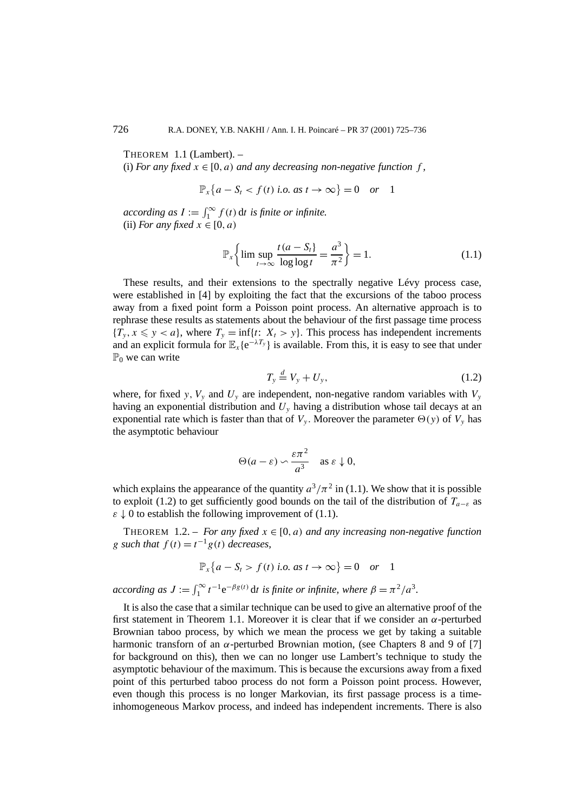THEOREM 1.1 (Lambert). –

(i) *For any fixed*  $x \in [0, a)$  *and any decreasing non-negative function*  $f$ ,

$$
\mathbb{P}_x\{a - S_t < f(t) \text{ i.o. as } t \to \infty\} = 0 \quad \text{or} \quad 1
$$

*according as*  $I := \int_1^\infty f(t) dt$  *is finite or infinite.* (ii) *For any fixed*  $x \in [0, a)$ 

$$
\mathbb{P}_{x}\left\{\limsup_{t\to\infty}\frac{t(a-S_t)}{\log\log t}=\frac{a^3}{\pi^2}\right\}=1.
$$
\n(1.1)

These results, and their extensions to the spectrally negative Lévy process case, were established in [4] by exploiting the fact that the excursions of the taboo process away from a fixed point form a Poisson point process. An alternative approach is to rephrase these results as statements about the behaviour of the first passage time process  ${T_y, x \leq y < a}$ , where  ${T_y = inf\{t: X_t > y\}}$ . This process has independent increments and an explicit formula for  $\mathbb{E}_x\{e^{-\lambda T_y}\}\$ is available. From this, it is easy to see that under  $\mathbb{P}_0$  we can write

$$
T_{y} \stackrel{d}{=} V_{y} + U_{y}, \tag{1.2}
$$

where, for fixed *y*,  $V_y$  and  $U_y$  are independent, non-negative random variables with  $V_y$ having an exponential distribution and *Uy* having a distribution whose tail decays at an exponential rate which is faster than that of  $V_y$ . Moreover the parameter  $\Theta(y)$  of  $V_y$  has the asymptotic behaviour

$$
\Theta(a-\varepsilon) \backsim \frac{\varepsilon \pi^2}{a^3} \quad \text{as } \varepsilon \downarrow 0,
$$

which explains the appearance of the quantity  $a^3/\pi^2$  in (1.1). We show that it is possible to exploit (1.2) to get sufficiently good bounds on the tail of the distribution of  $T_{a-\varepsilon}$  as  $\varepsilon \downarrow 0$  to establish the following improvement of (1.1).

THEOREM 1.2. – *For any fixed*  $x \in [0, a)$  *and any increasing non-negative function g such that*  $f(t) = t^{-1}g(t)$  *decreases,* 

$$
\mathbb{P}_x\{a - S_t > f(t) \text{ i.o. as } t \to \infty\} = 0 \quad or \quad 1
$$

*according as*  $J := \int_1^\infty t^{-1} e^{-\beta g(t)} dt$  *is finite or infinite, where*  $\beta = \pi^2/a^3$ *.* 

It is also the case that a similar technique can be used to give an alternative proof of the first statement in Theorem 1.1. Moreover it is clear that if we consider an *α*-perturbed Brownian taboo process, by which we mean the process we get by taking a suitable harmonic transforn of an *α*-perturbed Brownian motion, (see Chapters 8 and 9 of [7] for background on this), then we can no longer use Lambert's technique to study the asymptotic behaviour of the maximum. This is because the excursions away from a fixed point of this perturbed taboo process do not form a Poisson point process. However, even though this process is no longer Markovian, its first passage process is a timeinhomogeneous Markov process, and indeed has independent increments. There is also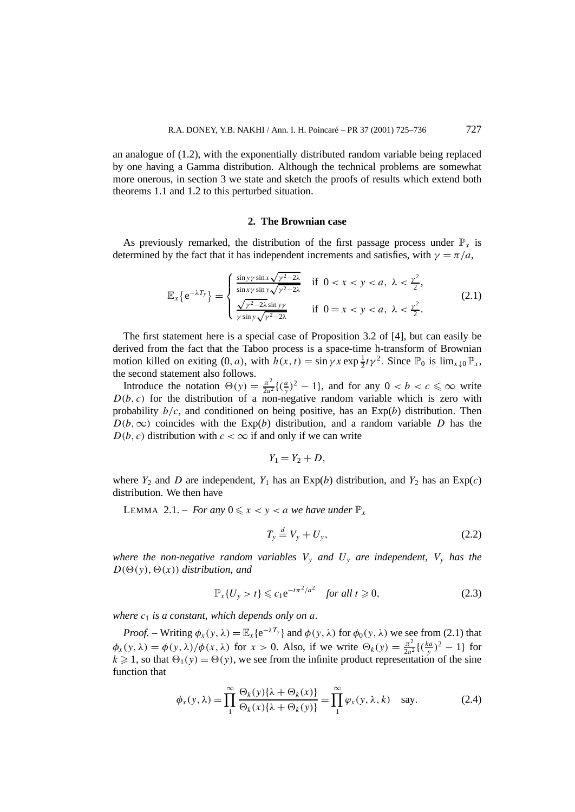an analogue of (1.2), with the exponentially distributed random variable being replaced by one having a Gamma distribution. Although the technical problems are somewhat more onerous, in section 3 we state and sketch the proofs of results which extend both theorems 1.1 and 1.2 to this perturbed situation.

#### **2. The Brownian case**

As previously remarked, the distribution of the first passage process under  $\mathbb{P}_x$  is determined by the fact that it has independent increments and satisfies, with  $\gamma = \pi/a$ ,

$$
\mathbb{E}_{x}\{e^{-\lambda T_{y}}\} = \begin{cases} \frac{\sin y y \sin x \sqrt{y^{2}-2\lambda}}{\sin xy \sin y \sqrt{y^{2}-2\lambda}} & \text{if } 0 < x < y < a, \ \lambda < \frac{y^{2}}{2}, \\ \frac{\sqrt{y^{2}-2\lambda} \sin y y}{y \sin y \sqrt{y^{2}-2\lambda}} & \text{if } 0 = x < y < a, \ \lambda < \frac{y^{2}}{2}. \end{cases}
$$
(2.1)

The first statement here is a special case of Proposition 3.2 of [4], but can easily be derived from the fact that the Taboo process is a space-time h-transform of Brownian motion killed on exiting  $(0, a)$ , with  $h(x, t) = \sin \gamma x \exp \frac{1}{2} t \gamma^2$ . Since  $\mathbb{P}_0$  is  $\lim_{x \downarrow 0} \mathbb{P}_x$ , the second statement also follows.

Introduce the notation  $\Theta(y) = \frac{\pi^2}{2a^2} \{(\frac{a}{y})^2 - 1\}$ , and for any  $0 < b < c \le \infty$  write  $D(b, c)$  for the distribution of a non-negative random variable which is zero with probability  $b/c$ , and conditioned on being positive, has an  $Exp(b)$  distribution. Then  $D(b, \infty)$  coincides with the Exp(*b*) distribution, and a random variable *D* has the  $D(b, c)$  distribution with  $c < \infty$  if and only if we can write

$$
Y_1=Y_2+D,
$$

where  $Y_2$  and  $D$  are independent,  $Y_1$  has an Exp(*b*) distribution, and  $Y_2$  has an Exp(*c*) distribution. We then have

LEMMA 2.1. – *For any*  $0 \le x < y < a$  *we have under*  $\mathbb{P}_x$ 

$$
T_y \stackrel{d}{=} V_y + U_y,\tag{2.2}
$$

*where the non-negative random variables*  $V_y$  *and*  $U_y$  *are independent,*  $V_y$  *has the*  $D(\Theta(y), \Theta(x))$  *distribution, and* 

$$
\mathbb{P}_x\{U_y > t\} \leqslant c_1 e^{-t\pi^2/a^2} \quad \text{for all } t \geqslant 0,
$$
 (2.3)

*where*  $c_1$  *is a constant, which depends only on a.* 

*Proof.* – Writing  $\phi_x(y, \lambda) = \mathbb{E}_x\{e^{-\lambda T_y}\}\$ and  $\phi(y, \lambda)$  for  $\phi_0(y, \lambda)$  we see from (2.1) that  $\phi_x(y, \lambda) = \phi(y, \lambda) / \phi(x, \lambda)$  for  $x > 0$ . Also, if we write  $\Theta_k(y) = \frac{\pi^2}{2a^2} \left\{ \left(\frac{ka}{y}\right)^2 - 1 \right\}$  for  $k \ge 1$ , so that  $\Theta_1(y) = \Theta(y)$ , we see from the infinite product representation of the sine function that

$$
\phi_x(y,\lambda) = \prod_1^{\infty} \frac{\Theta_k(y)\{\lambda + \Theta_k(x)\}}{\Theta_k(x)\{\lambda + \Theta_k(y)\}} = \prod_1^{\infty} \varphi_x(y,\lambda,k) \text{ say.}
$$
 (2.4)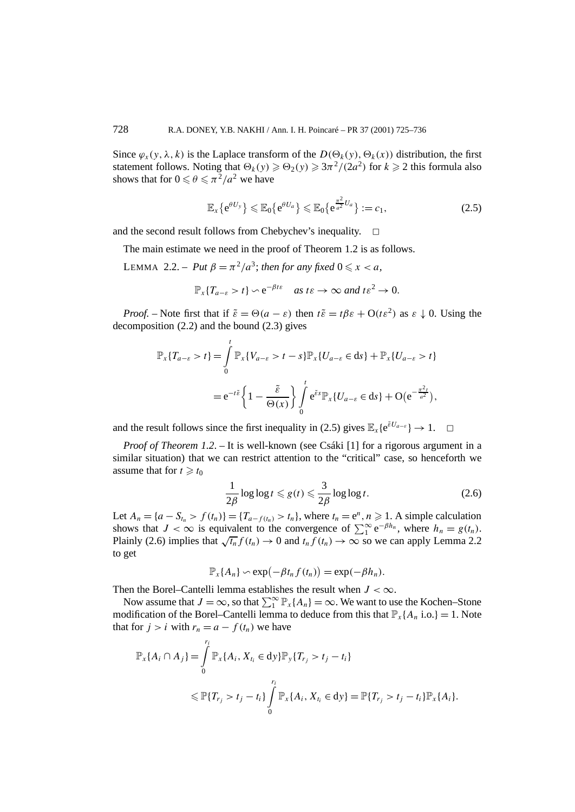Since  $\varphi_x(y, \lambda, k)$  is the Laplace transform of the  $D(\Theta_k(y), \Theta_k(x))$  distribution, the first statement follows. Noting that  $\Theta_k(y) \geq \Theta_2(y) \geq 3\pi^2/(2a^2)$  for  $k \geq 2$  this formula also shows that for  $0 \le \theta \le \pi^2/a^2$  we have

$$
\mathbb{E}_x\{e^{\theta U_y}\} \leq \mathbb{E}_0\{e^{\theta U_a}\} \leq \mathbb{E}_0\{e^{\frac{\pi^2}{a^2}U_a}\} := c_1,
$$
\n(2.5)

and the second result follows from Chebychev's inequality.  $\Box$ 

The main estimate we need in the proof of Theorem 1.2 is as follows.

LEMMA 2.2. – *Put*  $\beta = \pi^2/a^3$ ; *then for any fixed*  $0 \le x < a$ ,

$$
\mathbb{P}_x\{T_{a-\varepsilon} > t\} \backsim e^{-\beta t\varepsilon} \quad \text{as } t\varepsilon \to \infty \text{ and } t\varepsilon^2 \to 0.
$$

*Proof.* – Note first that if  $\tilde{\varepsilon} = \Theta(a - \varepsilon)$  then  $t\tilde{\varepsilon} = t\beta\varepsilon + O(t\varepsilon^2)$  as  $\varepsilon \downarrow 0$ . Using the decomposition (2.2) and the bound (2.3) gives

$$
\mathbb{P}_x\{T_{a-\varepsilon} > t\} = \int_0^t \mathbb{P}_x\{V_{a-\varepsilon} > t - s\} \mathbb{P}_x\{U_{a-\varepsilon} \in ds\} + \mathbb{P}_x\{U_{a-\varepsilon} > t\}
$$
  
=  $e^{-t\tilde{\varepsilon}}\left\{1 - \frac{\tilde{\varepsilon}}{\Theta(x)}\right\} \int_0^t e^{\tilde{\varepsilon}s} \mathbb{P}_x\{U_{a-\varepsilon} \in ds\} + \mathcal{O}(e^{-\frac{\pi^2 t}{a^2}}),$ 

and the result follows since the first inequality in (2.5) gives  $\mathbb{E}_x\{e^{\tilde{\varepsilon}U_{a-\varepsilon}}\} \to 1$ .  $\Box$ 

*Proof of Theorem 1.2.* – It is well-known (see Csáki [1] for a rigorous argument in a similar situation) that we can restrict attention to the "critical" case, so henceforth we assume that for  $t \geq t_0$ 

$$
\frac{1}{2\beta}\log\log t \leqslant g(t) \leqslant \frac{3}{2\beta}\log\log t. \tag{2.6}
$$

Let  $A_n = \{a - S_{t_n} > f(t_n)\} = \{T_{a - f(t_n)} > t_n\}$ , where  $t_n = e^n, n \ge 1$ . A simple calculation shows that  $J < \infty$  is equivalent to the convergence of  $\sum_{1}^{\infty} e^{-\beta h_n}$ , where  $h_n = g(t_n)$ . Plainly (2.6) implies that  $\sqrt{t_n} f(t_n) \to 0$  and  $t_n \overline{f(t_n)} \to \infty$  so we can apply Lemma 2.2 to get

$$
\mathbb{P}_{x}\lbrace A_{n}\rbrace \sim \exp(-\beta t_{n} f(t_{n})) = \exp(-\beta h_{n}).
$$

Then the Borel–Cantelli lemma establishes the result when  $J < \infty$ .

Now assume that  $J = \infty$ , so that  $\sum_{1}^{\infty} P_{x} \{A_n\} = \infty$ . We want to use the Kochen–Stone modification of the Borel–Cantelli lemma to deduce from this that  $\mathbb{P}_{x}$ {*A<sub>n</sub>* i.o.} = 1. Note that for  $j > i$  with  $r_n = a - f(t_n)$  we have

$$
\mathbb{P}_{x}\{A_{i} \cap A_{j}\} = \int_{0}^{r_{i}} \mathbb{P}_{x}\{A_{i}, X_{t_{i}} \in dy\} \mathbb{P}_{y}\{T_{r_{j}} > t_{j} - t_{i}\} \leq \mathbb{P}\{T_{r_{j}} > t_{j} - t_{i}\} \int_{0}^{r_{i}} \mathbb{P}_{x}\{A_{i}, X_{t_{i}} \in dy\} = \mathbb{P}\{T_{r_{j}} > t_{j} - t_{i}\} \mathbb{P}_{x}\{A_{i}\}.
$$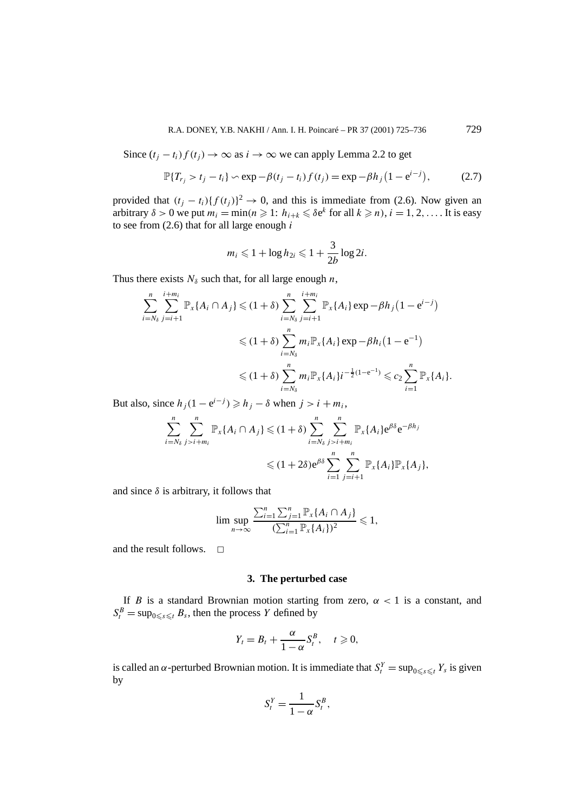Since  $(t<sub>j</sub> - t<sub>i</sub>) f(t<sub>j</sub>)$  → ∞ as  $i \rightarrow \infty$  we can apply Lemma 2.2 to get

$$
\mathbb{P}\{T_{r_j} > t_j - t_i\} \sim \exp{-\beta(t_j - t_i)f(t_j)} = \exp{-\beta h_j(1 - e^{i-j})},
$$
 (2.7)

provided that  $(t_j - t_i) \{f(t_j)\}^2 \rightarrow 0$ , and this is immediate from (2.6). Now given an arbitrary  $\delta > 0$  we put  $m_i = \min(n \geq 1: h_{i+k} \leq \delta e^k \text{ for all } k \geq n), i = 1, 2, \ldots$  It is easy to see from (2.6) that for all large enough *i*

$$
m_i \leq 1 + \log h_{2i} \leq 1 + \frac{3}{2b} \log 2i.
$$

Thus there exists  $N_{\delta}$  such that, for all large enough *n*,

$$
\sum_{i=N_{\delta}}^{n} \sum_{j=i+1}^{i+m_i} \mathbb{P}_{x} \{A_i \cap A_j\} \leq (1+\delta) \sum_{i=N_{\delta}}^{n} \sum_{j=i+1}^{i+m_i} \mathbb{P}_{x} \{A_i\} \exp - \beta h_j (1 - e^{i-j})
$$
  

$$
\leq (1+\delta) \sum_{i=N_{\delta}}^{n} m_i \mathbb{P}_{x} \{A_i\} \exp - \beta h_i (1 - e^{-1})
$$
  

$$
\leq (1+\delta) \sum_{i=N_{\delta}}^{n} m_i \mathbb{P}_{x} \{A_i\} i^{-\frac{1}{2}(1-e^{-1})} \leq c_2 \sum_{i=1}^{n} \mathbb{P}_{x} \{A_i\}.
$$

But also, since  $h_j(1 - e^{i-j}) \ge h_j - \delta$  when  $j > i + m_i$ ,

$$
\sum_{i=N_{\delta}}^{n} \sum_{j>i+m_i}^{n} \mathbb{P}_{x}\lbrace A_i \cap A_j \rbrace \leq (1+\delta) \sum_{i=N_{\delta}}^{n} \sum_{j>i+m_i}^{n} \mathbb{P}_{x}\lbrace A_i \rbrace e^{\beta \delta} e^{-\beta h_j}
$$
  

$$
\leq (1+2\delta) e^{\beta \delta} \sum_{i=1}^{n} \sum_{j=i+1}^{n} \mathbb{P}_{x}\lbrace A_i \rbrace \mathbb{P}_{x}\lbrace A_j \rbrace,
$$

and since  $\delta$  is arbitrary, it follows that

$$
\lim \sup_{n \to \infty} \frac{\sum_{i=1}^n \sum_{j=1}^n \mathbb{P}_x\{A_i \cap A_j\}}{(\sum_{i=1}^n \mathbb{P}_x\{A_i\})^2} \leq 1,
$$

and the result follows.  $\Box$ 

#### **3. The perturbed case**

If *B* is a standard Brownian motion starting from zero,  $\alpha < 1$  is a constant, and  $S_t^B = \sup_{0 \le s \le t} B_s$ , then the process *Y* defined by

$$
Y_t=B_t+\frac{\alpha}{1-\alpha}S_t^B, \quad t\geqslant 0,
$$

is called an *α*-perturbed Brownian motion. It is immediate that  $S_t^Y = \sup_{0 \le s \le t} Y_s$  is given by

$$
S_t^Y = \frac{1}{1 - \alpha} S_t^B,
$$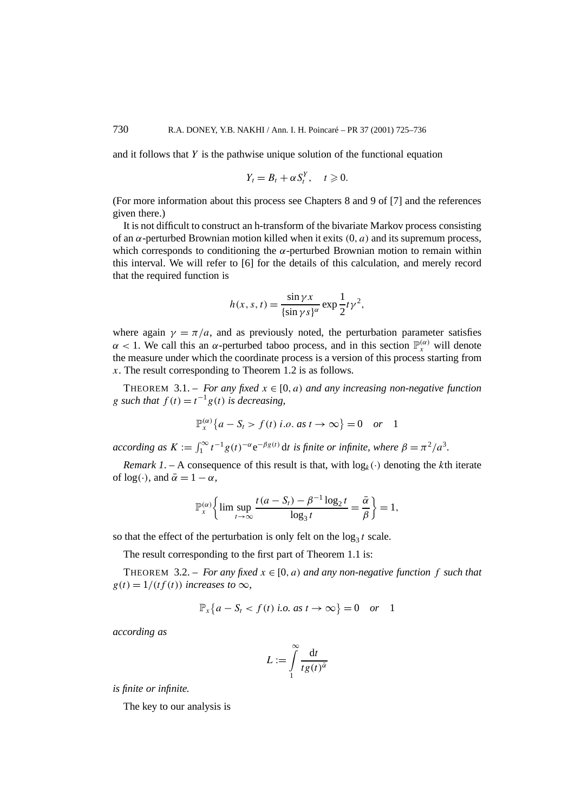and it follows that *Y* is the pathwise unique solution of the functional equation

$$
Y_t=B_t+\alpha S_t^Y, \quad t\geqslant 0.
$$

(For more information about this process see Chapters 8 and 9 of [7] and the references given there.)

It is not difficult to construct an h-transform of the bivariate Markov process consisting of an *α*-perturbed Brownian motion killed when it exits *(*0*, a)* and its supremum process, which corresponds to conditioning the *α*-perturbed Brownian motion to remain within this interval. We will refer to [6] for the details of this calculation, and merely record that the required function is

$$
h(x, s, t) = \frac{\sin \gamma x}{\{\sin \gamma s\}^\alpha} \exp \frac{1}{2} t \gamma^2,
$$

where again  $\gamma = \pi/a$ , and as previously noted, the perturbation parameter satisfies  $\alpha$  < 1. We call this an  $\alpha$ -perturbed taboo process, and in this section  $\mathbb{P}_{x}^{(\alpha)}$  will denote the measure under which the coordinate process is a version of this process starting from *x*. The result corresponding to Theorem 1.2 is as follows.

THEOREM 3.1. – *For any fixed*  $x \in [0, a)$  *and any increasing non-negative function g such that*  $f(t) = t^{-1}g(t)$  *is decreasing,* 

$$
\mathbb{P}_x^{(\alpha)}\{a - S_t > f(t) \text{ i.o. as } t \to \infty\} = 0 \quad or \quad 1
$$

 $\arccor$ *ding as*  $K := \int_1^\infty t^{-1} g(t)^{-\alpha} e^{-\beta g(t)} dt$  *is finite or infinite, where*  $\beta = \pi^2/a^3$ *.* 

*Remark 1.* – A consequence of this result is that, with  $log_k(\cdot)$  denoting the *k*th iterate of  $log(\cdot)$ , and  $\bar{\alpha} = 1 - \alpha$ ,

$$
\mathbb{P}_{x}^{(\alpha)}\bigg\{\lim\sup_{t\to\infty}\frac{t(a-S_t)-\beta^{-1}\log_2t}{\log_3t}=\frac{\bar{\alpha}}{\beta}\bigg\}=1,
$$

so that the effect of the perturbation is only felt on the  $\log_3 t$  scale.

The result corresponding to the first part of Theorem 1.1 is:

THEOREM 3.2. – *For any fixed*  $x \in [0, a)$  *and any non-negative function* f *such that*  $g(t) = 1/(tf(t))$  *increases to*  $\infty$ *,* 

$$
\mathbb{P}_x\{a - S_t < f(t) \text{ i.o. as } t \to \infty\} = 0 \quad \text{or} \quad 1
$$

*according as*

$$
L := \int_{1}^{\infty} \frac{\mathrm{d}t}{t g(t)^{\bar{\alpha}}}
$$

*is finite or infinite.*

The key to our analysis is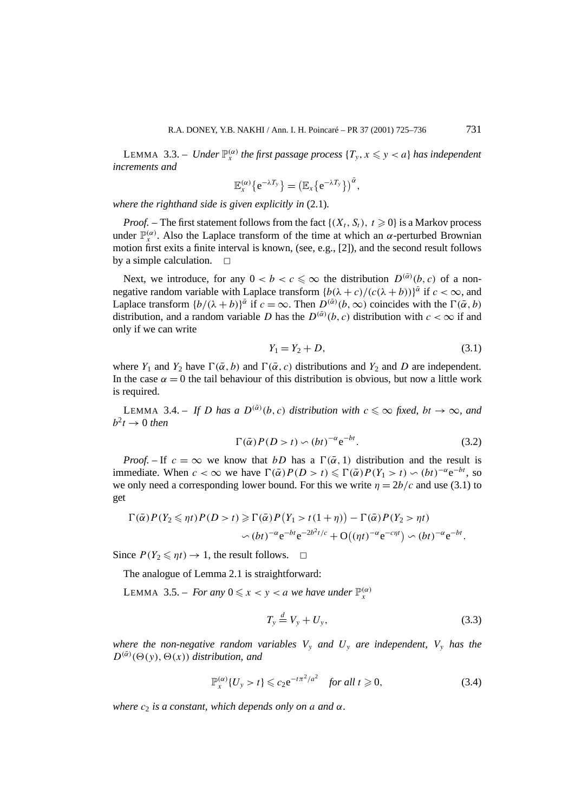LEMMA 3.3. – *Under*  $\mathbb{P}_{x}^{(\alpha)}$  *the first passage process*  $\{T_{y}, x \leqslant y < a\}$  *has independent increments and*

$$
\mathbb{E}^{(\alpha)}_x \{e^{-\lambda T_y}\} = \left(\mathbb{E}_x \{e^{-\lambda T_y}\}\right)^{\bar{\alpha}},
$$

*where the righthand side is given explicitly in* (2.1)*.*

*Proof.* – The first statement follows from the fact  $\{(X_t, S_t), t \geq 0\}$  is a Markov process under  $\mathbb{P}_{x}^{(\alpha)}$ . Also the Laplace transform of the time at which an  $\alpha$ -perturbed Brownian motion first exits a finite interval is known, (see, e.g., [2]), and the second result follows by a simple calculation.  $\Box$ 

Next, we introduce, for any  $0 < b < c \leq \infty$  the distribution  $D^{(\bar{\alpha})}(b, c)$  of a nonnegative random variable with Laplace transform  ${b(\lambda + c)/(c(\lambda + b))}^{\bar{\alpha}}$  if  $c < \infty$ , and Laplace transform  $\{b/(\lambda + b)\}^{\bar{\alpha}}$  if  $c = \infty$ . Then  $D^{(\bar{\alpha})}(b, \infty)$  coincides with the  $\Gamma(\bar{\alpha}, b)$ distribution, and a random variable *D* has the  $D^{(\alpha)}(b, c)$  distribution with  $c < \infty$  if and only if we can write

$$
Y_1 = Y_2 + D,\t\t(3.1)
$$

where *Y*<sub>1</sub> and *Y*<sub>2</sub> have  $\Gamma(\bar{\alpha}, b)$  and  $\Gamma(\bar{\alpha}, c)$  distributions and *Y*<sub>2</sub> and *D* are independent. In the case  $\alpha = 0$  the tail behaviour of this distribution is obvious, but now a little work is required.

LEMMA 3.4. – *If D has a*  $D^{(\bar{\alpha})}(b, c)$  *distribution with*  $c \leq \infty$  *fixed,*  $bt \rightarrow \infty$ *, and*  $b^2t \rightarrow 0$  *then* 

$$
\Gamma(\bar{\alpha})P(D > t) \backsim (bt)^{-\alpha} e^{-bt}.
$$
 (3.2)

*Proof.* – If  $c = \infty$  we know that *bD* has a  $\Gamma(\bar{\alpha}, 1)$  distribution and the result is immediate. When  $c < \infty$  we have  $\Gamma(\bar{\alpha})P(D > t) \leq \Gamma(\bar{\alpha})P(Y_1 > t) \backsim (bt)^{-\alpha}e^{-bt}$ , so we only need a corresponding lower bound. For this we write  $\eta = 2b/c$  and use (3.1) to get

$$
\Gamma(\bar{\alpha})P(Y_2 \leq \eta t)P(D > t) \geq \Gamma(\bar{\alpha})P(Y_1 > t(1 + \eta)) - \Gamma(\bar{\alpha})P(Y_2 > \eta t)
$$
  
\$\sim (bt)^{-\alpha}e^{-bt}e^{-2b^2t/c} + O((\eta t)^{-\alpha}e^{-c\eta t}) \sim (bt)^{-\alpha}e^{-bt}\$.

Since  $P(Y_2 \leq \eta t) \to 1$ , the result follows.  $\Box$ 

The analogue of Lemma 2.1 is straightforward:

LEMMA 3.5. – *For any*  $0 \le x < y < a$  *we have under*  $\mathbb{P}_{x}^{(\alpha)}$ 

$$
T_y \stackrel{d}{=} V_y + U_y,\tag{3.3}
$$

*where the non-negative random variables*  $V_y$  *and*  $U_y$  *are independent,*  $V_y$  *has the*  $D^{(\bar{\alpha})}(\Theta(y), \Theta(x))$  *distribution, and* 

$$
\mathbb{P}_{x}^{(\alpha)}\{U_{y} > t\} \leqslant c_{2}e^{-t\pi^{2}/a^{2}} \quad \text{for all } t \geqslant 0,
$$
\n(3.4)

*where*  $c_2$  *is a constant, which depends only on a and*  $\alpha$ *.*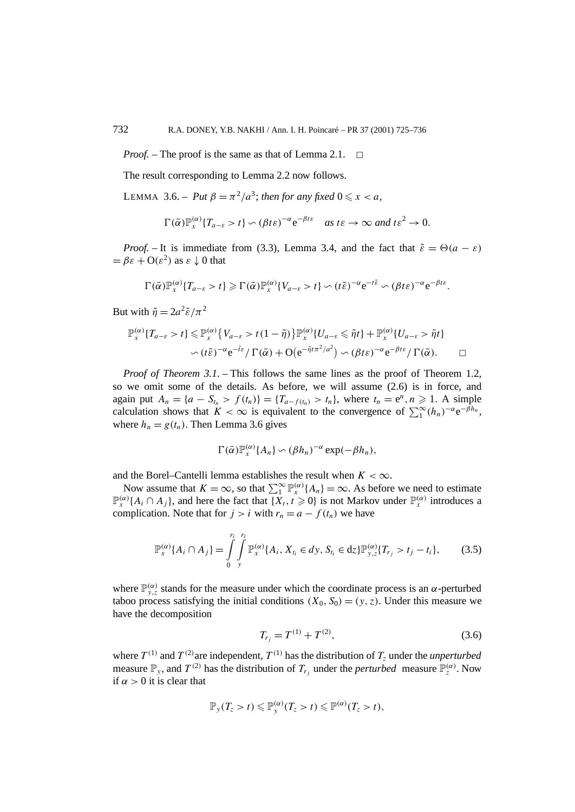*Proof.* – The proof is the same as that of Lemma 2.1. <del>□</del>

The result corresponding to Lemma 2.2 now follows.

LEMMA 3.6. – *Put*  $\beta = \pi^2/a^3$ ; *then for any fixed*  $0 \le x < a$ ,

$$
\Gamma(\bar{\alpha})\mathbb{P}_{x}^{(\alpha)}\{T_{a-\varepsilon}>t\}\backsim(\beta t\varepsilon)^{-\alpha}e^{-\beta t\varepsilon}\quad as\;t\varepsilon\to\infty\;and\;t\varepsilon^{2}\to0.
$$

*Proof.* – It is immediate from (3.3), Lemma 3.4, and the fact that  $\tilde{\varepsilon} = \Theta(a - \varepsilon)$  $= \beta \varepsilon + O(\varepsilon^2)$  as  $\varepsilon \downarrow 0$  that

$$
\Gamma(\bar{\alpha})\mathbb{P}_{x}^{(\alpha)}\lbrace T_{a-\varepsilon}>t\rbrace \geqslant \Gamma(\bar{\alpha})\mathbb{P}_{x}^{(\alpha)}\lbrace V_{a-\varepsilon}>t\rbrace \backsim (t\tilde{\varepsilon})^{-\alpha}e^{-t\tilde{\varepsilon}} \backsim (\beta t\varepsilon)^{-\alpha}e^{-\beta t\varepsilon}.
$$

But with  $\tilde{\eta} = 2a^2\tilde{\varepsilon}/\pi^2$ 

$$
\mathbb{P}_{x}^{(\alpha)}\lbrace T_{a-\varepsilon}>t\rbrace \leq \mathbb{P}_{x}^{(\alpha)}\lbrace V_{a-\varepsilon}>t(1-\tilde{\eta})\rbrace \mathbb{P}_{x}^{(\alpha)}\lbrace U_{a-\varepsilon}\leq \tilde{\eta}t\rbrace + \mathbb{P}_{x}^{(\alpha)}\lbrace U_{a-\varepsilon}>\tilde{\eta}t\rbrace
$$

$$
\sim (t\tilde{\varepsilon})^{-\alpha}e^{-\tilde{t}\varepsilon}/\Gamma(\bar{\alpha})+O\big(e^{-\tilde{\eta}t\pi^{2}/a^{2}}\big)\sim (\beta t\varepsilon)^{-\alpha}e^{-\beta t\varepsilon}/\Gamma(\bar{\alpha}).\qquad \Box
$$

*Proof of Theorem 3.1.* – This follows the same lines as the proof of Theorem 1.2, so we omit some of the details. As before, we will assume (2.6) is in force, and again put  $A_n = \{a - S_{t_n} > f(t_n)\} = \{T_{a - f(t_n)} > t_n\}$ , where  $t_n = e^n, n \ge 1$ . A simple calculation shows that  $K < \infty$  is equivalent to the convergence of  $\sum_1^{\infty} (h_n)^{-\alpha} e^{-\beta h_n}$ , where  $h_n = g(t_n)$ . Then Lemma 3.6 gives

$$
\Gamma(\bar{\alpha})\mathbb{P}_{x}^{(\alpha)}\lbrace A_{n}\rbrace \backsim (\beta h_{n})^{-\alpha}\exp(-\beta h_{n}),
$$

and the Borel–Cantelli lemma establishes the result when  $K < \infty$ .

Now assume that  $K = \infty$ , so that  $\sum_{1}^{\infty} \mathbb{P}_{x}^{(\alpha)} \{A_{n}\} = \infty$ . As before we need to estimate  $\mathbb{P}_{x}^{(\alpha)}\{A_i \cap A_j\}$ , and here the fact that  $\{X_t, t \geq 0\}$  is not Markov under  $\mathbb{P}_{x}^{(\alpha)}$  introduces a complication. Note that for  $j > i$  with  $r_n = a - f(t_n)$  we have

$$
\mathbb{P}_{x}^{(\alpha)}\{A_{i} \cap A_{j}\} = \int_{0}^{r_{i}} \int_{y}^{r_{i}} \mathbb{P}_{x}^{(\alpha)}\{A_{i}, X_{t_{i}} \in dy, S_{t_{i}} \in dz\} \mathbb{P}_{y,z}^{(\alpha)}\{T_{r_{j}} > t_{j} - t_{i}\},
$$
(3.5)

where  $\mathbb{P}_{y,z}^{(\alpha)}$  stands for the measure under which the coordinate process is an  $\alpha$ -perturbed taboo process satisfying the initial conditions  $(X_0, S_0) = (y, z)$ . Under this measure we have the decomposition

$$
T_{r_j} = T^{(1)} + T^{(2)},\tag{3.6}
$$

where  $T^{(1)}$  and  $T^{(2)}$  are independent,  $T^{(1)}$  has the distribution of  $T_z$  under the *unperturbed* measure  $\mathbb{P}_y$ , and  $T^{(2)}$  has the distribution of  $T_{r_j}$  under the *perturbed* measure  $\mathbb{P}_z^{(\alpha)}$ . Now if  $\alpha > 0$  it is clear that

$$
\mathbb{P}_y(T_z>t)\leqslant \mathbb{P}_y^{(\alpha)}(T_z>t)\leqslant \mathbb{P}^{(\alpha)}(T_z>t),
$$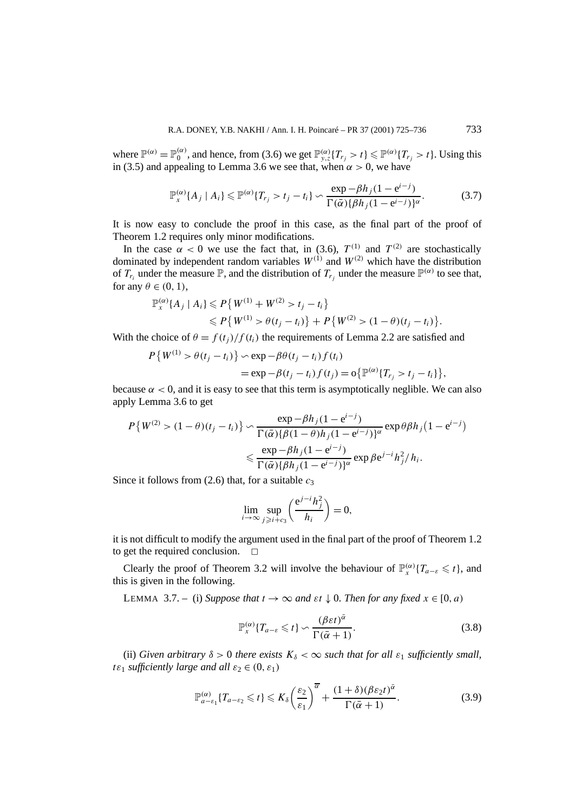where  $\mathbb{P}^{(\alpha)} = \mathbb{P}_0^{(\alpha)}$ , and hence, from (3.6) we get  $\mathbb{P}_{y,z}^{(\alpha)}\{T_{r_j} > t\} \leq \mathbb{P}^{(\alpha)}\{T_{r_j} > t\}$ . Using this in (3.5) and appealing to Lemma 3.6 we see that, when  $\alpha > 0$ , we have

$$
\mathbb{P}_{x}^{(\alpha)}\{A_j \mid A_i\} \leq \mathbb{P}^{(\alpha)}\{T_{r_j} > t_j - t_i\} \sim \frac{\exp - \beta h_j (1 - e^{i - j})}{\Gamma(\bar{\alpha}) \{\beta h_j (1 - e^{i - j})\}^\alpha}.\tag{3.7}
$$

It is now easy to conclude the proof in this case, as the final part of the proof of Theorem 1.2 requires only minor modifications.

In the case  $\alpha < 0$  we use the fact that, in (3.6),  $T^{(1)}$  and  $T^{(2)}$  are stochastically dominated by independent random variables  $W^{(1)}$  and  $W^{(2)}$  which have the distribution of  $T_{r_i}$  under the measure  $\mathbb{P}$ , and the distribution of  $T_{r_i}$  under the measure  $\mathbb{P}^{(\alpha)}$  to see that, for any  $\theta \in (0, 1)$ ,

$$
\mathbb{P}_{x}^{(\alpha)}\{A_{j} \mid A_{i}\} \leq P\{W^{(1)} + W^{(2)} > t_{j} - t_{i}\} \\
\leq P\{W^{(1)} > \theta(t_{j} - t_{i})\} + P\{W^{(2)} > (1 - \theta)(t_{j} - t_{i})\}.
$$

With the choice of  $\theta = f(t_i)/f(t_i)$  the requirements of Lemma 2.2 are satisfied and

$$
P\{W^{(1)} > \theta(t_j - t_i)\} \sim \exp{-\beta\theta(t_j - t_i)f(t_i)}
$$
  
= 
$$
\exp{-\beta(t_j - t_i)f(t_j)} = o\{\mathbb{P}^{(\alpha)}\{T_{r_j} > t_j - t_i\}\},
$$

because  $\alpha < 0$ , and it is easy to see that this term is asymptotically neglible. We can also apply Lemma 3.6 to get

$$
P\{W^{(2)} > (1-\theta)(t_j - t_i)\} \sim \frac{\exp - \beta h_j (1 - e^{i-j})}{\Gamma(\bar{\alpha}) \{\beta (1-\theta) h_j (1 - e^{i-j})\}^{\alpha}} \exp \theta \beta h_j (1 - e^{i-j})
$$

$$
\leq \frac{\exp - \beta h_j (1 - e^{i-j})}{\Gamma(\bar{\alpha}) \{\beta h_j (1 - e^{i-j})\}^{\alpha}} \exp \beta e^{j-i} h_j^2 / h_i.
$$

Since it follows from  $(2.6)$  that, for a suitable  $c_3$ 

$$
\lim_{i \to \infty} \sup_{j \ge i+c_3} \left( \frac{e^{j-i} h_j^2}{h_i} \right) = 0,
$$

it is not difficult to modify the argument used in the final part of the proof of Theorem 1.2 to get the required conclusion.  $\Box$ 

Clearly the proof of Theorem 3.2 will involve the behaviour of  $\mathbb{P}_{x}^{(\alpha)}\{T_{a-\epsilon} \leq t\}$ , and this is given in the following.

**LEMMA** 3.7. – (i) *Suppose that*  $t \to \infty$  *and*  $\epsilon t \downarrow 0$ *. Then for any fixed*  $x \in [0, a)$ 

$$
\mathbb{P}_{x}^{(\alpha)}\{T_{a-\varepsilon}\leq t\}\backsim\frac{(\beta\varepsilon t)^{\bar{\alpha}}}{\Gamma(\bar{\alpha}+1)}.\tag{3.8}
$$

(ii) *Given arbitrary*  $\delta > 0$  *there exists*  $K_{\delta} < \infty$  *such that for all*  $\varepsilon_1$  *sufficiently small, t* $\varepsilon_1$  *sufficiently large and all*  $\varepsilon_2 \in (0, \varepsilon_1)$ 

$$
\mathbb{P}_{a-\varepsilon_1}^{(\alpha)}\{T_{a-\varepsilon_2}\leq t\}\leqslant K_{\delta}\left(\frac{\varepsilon_2}{\varepsilon_1}\right)^{\overline{\alpha}}+\frac{(1+\delta)(\beta\varepsilon_2t)^{\overline{\alpha}}}{\Gamma(\overline{\alpha}+1)}.
$$
\n(3.9)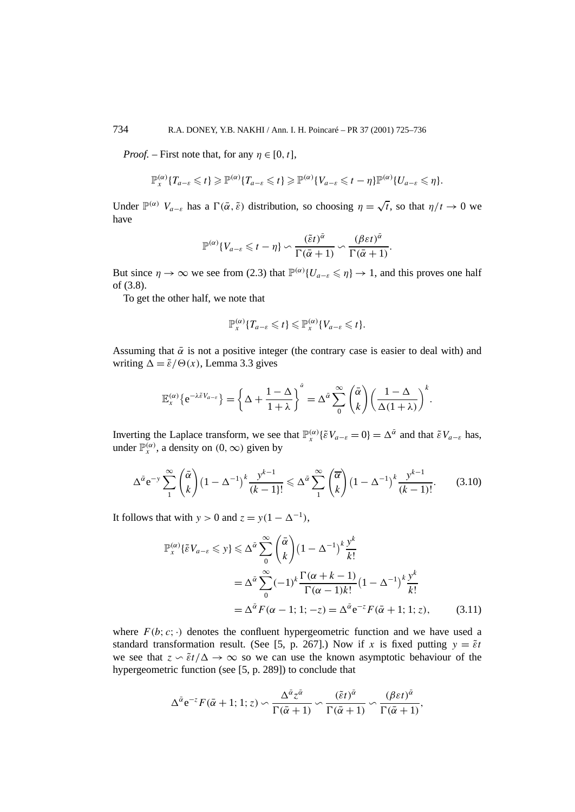*Proof.* – First note that, for any  $\eta \in [0, t]$ ,

$$
\mathbb{P}_{x}^{(\alpha)}\{T_{a-\varepsilon}\leq t\}\geq \mathbb{P}^{(\alpha)}\{T_{a-\varepsilon}\leq t\}\geq \mathbb{P}^{(\alpha)}\{V_{a-\varepsilon}\leq t-\eta\}\mathbb{P}^{(\alpha)}\{U_{a-\varepsilon}\leq \eta\}.
$$

Under  $\mathbb{P}^{(\alpha)}$   $V_{a-\epsilon}$  has a  $\Gamma(\bar{\alpha},\bar{\epsilon})$  distribution, so choosing  $\eta = \sqrt{t}$ , so that  $\eta/t \to 0$  we have

$$
\mathbb{P}^{(\alpha)}\{V_{a-\varepsilon}\leq t-\eta\}\backsim \frac{(\tilde{\varepsilon}t)^{\tilde{\alpha}}}{\Gamma(\bar{\alpha}+1)}\backsim \frac{(\beta\varepsilon t)^{\tilde{\alpha}}}{\Gamma(\bar{\alpha}+1)}.
$$

But since  $\eta \to \infty$  we see from (2.3) that  $\mathbb{P}^{(\alpha)}\{U_{a-\varepsilon} \leq \eta\} \to 1$ , and this proves one half of (3.8).

To get the other half, we note that

$$
\mathbb{P}_{x}^{(\alpha)}\lbrace T_{a-\varepsilon}\leq t\rbrace \leq \mathbb{P}_{x}^{(\alpha)}\lbrace V_{a-\varepsilon}\leq t\rbrace.
$$

Assuming that  $\bar{\alpha}$  is not a positive integer (the contrary case is easier to deal with) and writing  $\Delta = \tilde{\varepsilon}/\Theta(x)$ , Lemma 3.3 gives

$$
\mathbb{E}_{x}^{(\alpha)}\{e^{-\lambda \tilde{\varepsilon}V_{a-\varepsilon}}\} = \left\{\Delta + \frac{1-\Delta}{1+\lambda}\right\}^{\tilde{\alpha}} = \Delta^{\tilde{\alpha}} \sum_{0}^{\infty} {\tilde{\alpha} \choose k} \left(\frac{1-\Delta}{\Delta(1+\lambda)}\right)^{k}.
$$

Inverting the Laplace transform, we see that  $\mathbb{P}_{x}^{(\alpha)}\{\tilde{\varepsilon}V_{a-\varepsilon}=0\}=\Delta^{\bar{\alpha}}$  and that  $\tilde{\varepsilon}V_{a-\varepsilon}$  has, under  $\mathbb{P}_{x}^{(\alpha)}$ , a density on  $(0, \infty)$  given by

$$
\Delta^{\bar{\alpha}} e^{-y} \sum_{1}^{\infty} {\bar{\alpha} \choose k} \left(1 - \Delta^{-1}\right)^k \frac{y^{k-1}}{(k-1)!} \leq \Delta^{\bar{\alpha}} \sum_{1}^{\infty} {\bar{\alpha} \choose k} \left(1 - \Delta^{-1}\right)^k \frac{y^{k-1}}{(k-1)!}.
$$
 (3.10)

It follows that with  $y > 0$  and  $z = y(1 - \Delta^{-1})$ ,

$$
\mathbb{P}_{x}^{(\alpha)}\{\tilde{\varepsilon}V_{a-\varepsilon}\leqslant y\}\leqslant\Delta^{\tilde{\alpha}}\sum_{0}^{\infty}\binom{\bar{\alpha}}{k}\left(1-\Delta^{-1}\right)^{k}\frac{y^{k}}{k!}
$$
\n
$$
=\Delta^{\tilde{\alpha}}\sum_{0}^{\infty}(-1)^{k}\frac{\Gamma(\alpha+k-1)}{\Gamma(\alpha-1)k!}\left(1-\Delta^{-1}\right)^{k}\frac{y^{k}}{k!}
$$
\n
$$
=\Delta^{\tilde{\alpha}}F(\alpha-1;1;-z)=\Delta^{\tilde{\alpha}}e^{-z}F(\bar{\alpha}+1;1;z),\qquad(3.11)
$$

where  $F(b; c; \cdot)$  denotes the confluent hypergeometric function and we have used a standard transformation result. (See [5, p. 267].) Now if *x* is fixed putting  $y = \tilde{\varepsilon}t$ we see that  $z \circ \tilde{\varepsilon}t/\Delta \to \infty$  so we can use the known asymptotic behaviour of the hypergeometric function (see [5, p. 289]) to conclude that

$$
\Delta^{\bar{\alpha}}e^{-z}F(\bar{\alpha}+1;1;z) \backsim \frac{\Delta^{\bar{\alpha}}z^{\bar{\alpha}}}{\Gamma(\bar{\alpha}+1)} \backsim \frac{(\tilde{\varepsilon}t)^{\bar{\alpha}}}{\Gamma(\bar{\alpha}+1)} \backsim \frac{(\beta \varepsilon t)^{\bar{\alpha}}}{\Gamma(\bar{\alpha}+1)},
$$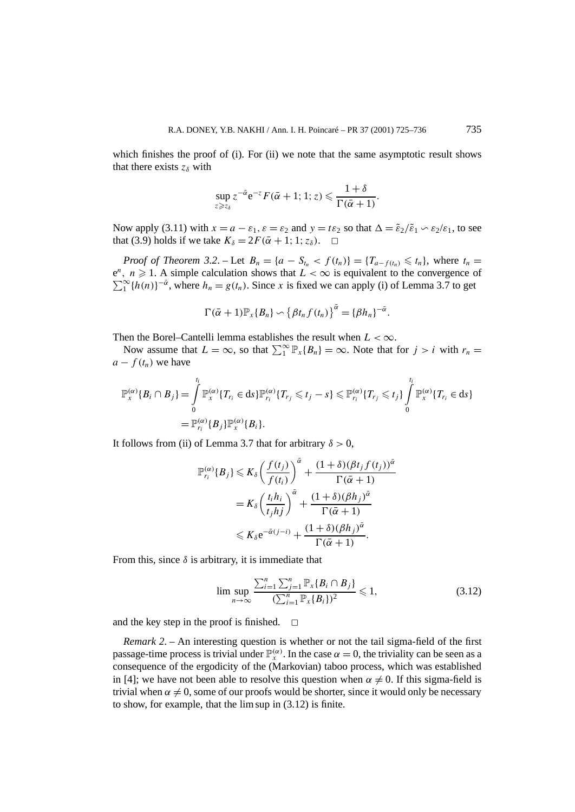which finishes the proof of (i). For (ii) we note that the same asymptotic result shows that there exists  $z_{\delta}$  with

$$
\sup_{z\geqslant z_3} z^{-\bar{\alpha}} e^{-z} F(\bar{\alpha}+1; 1; z) \leqslant \frac{1+\delta}{\Gamma(\bar{\alpha}+1)}.
$$

Now apply (3.11) with  $x = a - \varepsilon_1$ ,  $\varepsilon = \varepsilon_2$  and  $y = t\varepsilon_2$  so that  $\Delta = \varepsilon_2/\varepsilon_1 \sim \varepsilon_2/\varepsilon_1$ , to see that (3.9) holds if we take  $K_{\delta} = 2F(\bar{\alpha} + 1; 1; z_{\delta})$ .  $\Box$ 

*Proof of Theorem 3.2.* – Let  $B_n = \{a - S_{t_n} < f(t_n)\} = \{T_{a-f(t_n)} \leq t_n\}$ , where  $t_n =$  $e^n$ ,  $n \ge 1$ . A simple calculation shows that  $L < \infty$  is equivalent to the convergence of  $\sum_{1}^{\infty} {\{h(n)\}}^{-\bar{\alpha}}$ , where  $h_n = g(t_n)$ . Since *x* is fixed we can apply (i) of Lemma 3.7 to get

$$
\Gamma(\bar{\alpha}+1)\mathbb{P}_{x}\lbrace B_{n}\rbrace \backsim \left\lbrace \beta t_{n} f(t_{n}) \right\rbrace^{\bar{\alpha}} = \lbrace \beta h_{n} \rbrace^{-\bar{\alpha}}.
$$

Then the Borel–Cantelli lemma establishes the result when  $L < \infty$ .

Now assume that  $L = \infty$ , so that  $\sum_{1}^{\infty} \mathbb{P}_{x} \{B_n\} = \infty$ . Note that for  $j > i$  with  $r_n =$  $a - f(t_n)$  we have

$$
\mathbb{P}_{x}^{(\alpha)}\{B_{i} \cap B_{j}\} = \int_{0}^{t_{i}} \mathbb{P}_{x}^{(\alpha)}\{T_{r_{i}} \in ds\} \mathbb{P}_{r_{i}}^{(\alpha)}\{T_{r_{j}} \leq t_{j} - s\} \leq \mathbb{P}_{r_{i}}^{(\alpha)}\{T_{r_{j}} \leq t_{j}\} \int_{0}^{t_{i}} \mathbb{P}_{x}^{(\alpha)}\{T_{r_{i}} \in ds\}
$$

$$
= \mathbb{P}_{r_{i}}^{(\alpha)}\{B_{j}\} \mathbb{P}_{x}^{(\alpha)}\{B_{i}\}.
$$

It follows from (ii) of Lemma 3.7 that for arbitrary  $\delta > 0$ ,

$$
\mathbb{P}_{r_i}^{(\alpha)}\{B_j\} \leq K_{\delta} \left(\frac{f(t_j)}{f(t_i)}\right)^{\bar{\alpha}} + \frac{(1+\delta)(\beta t_j f(t_j))^{\bar{\alpha}}}{\Gamma(\bar{\alpha}+1)}
$$

$$
= K_{\delta} \left(\frac{t_i h_i}{t_j h_j}\right)^{\bar{\alpha}} + \frac{(1+\delta)(\beta h_j)^{\bar{\alpha}}}{\Gamma(\bar{\alpha}+1)}
$$

$$
\leq K_{\delta} e^{-\bar{\alpha}(j-i)} + \frac{(1+\delta)(\beta h_j)^{\bar{\alpha}}}{\Gamma(\bar{\alpha}+1)}.
$$

From this, since  $\delta$  is arbitrary, it is immediate that

$$
\limsup_{n \to \infty} \frac{\sum_{i=1}^{n} \sum_{j=1}^{n} \mathbb{P}_{x} \{B_{i} \cap B_{j}\}}{(\sum_{i=1}^{n} \mathbb{P}_{x} \{B_{i}\})^{2}} \leq 1,
$$
\n(3.12)

and the key step in the proof is finished.  $\Box$ 

*Remark 2*. – An interesting question is whether or not the tail sigma-field of the first passage-time process is trivial under  $\mathbb{P}_{x}^{(\alpha)}$ . In the case  $\alpha = 0$ , the triviality can be seen as a consequence of the ergodicity of the (Markovian) taboo process, which was established in [4]; we have not been able to resolve this question when  $\alpha \neq 0$ . If this sigma-field is trivial when  $\alpha \neq 0$ , some of our proofs would be shorter, since it would only be necessary to show, for example, that the lim sup in (3.12) is finite.